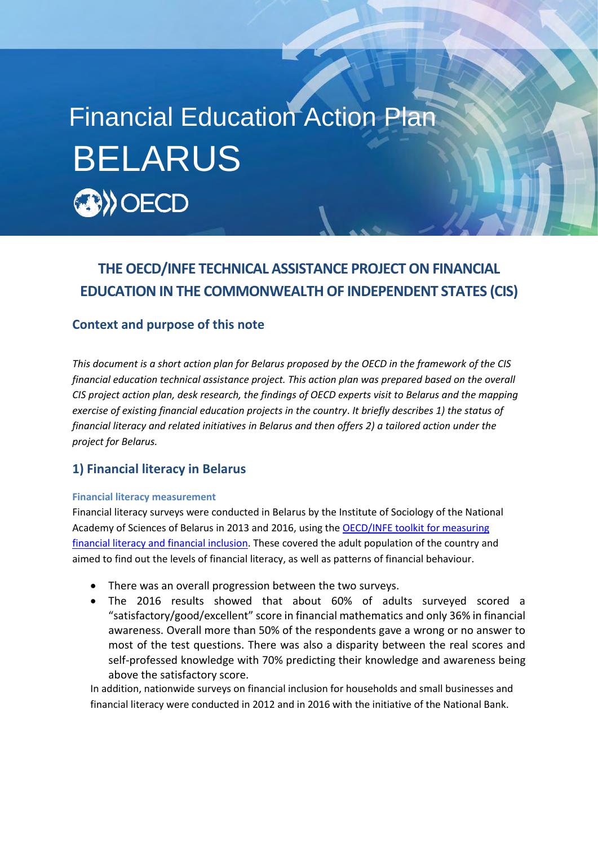# Financial Education Action PlanBELARUS **By OECD**

## **THE OECD/INFE TECHNICAL ASSISTANCE PROJECT ON FINANCIAL EDUCATION IN THE COMMONWEALTH OF INDEPENDENT STATES (CIS)**

### **Context and purpose of this note**

**APRIL 2018** Insided and the state of the overall plan for belongs proposed by the OLOD in the framework of the olong financial education technical assistance project. This action plan was prepared based on the overall *This document is a short action plan for Belarus proposed by the OECD in the framework of the CIS CIS project action plan, desk research, the findings of OECD experts visit to Belarus and the mapping exercise of existing financial education projects in the country*. *It briefly describes 1) the status of financial literacy and related initiatives in Belarus and then offers 2) a tailored action under the project for Belarus.*

## **1) Financial literacy in Belarus**

#### **Financial literacy measurement**

Financial literacy surveys were conducted in Belarus by the Institute of Sociology of the National Academy of Sciences of Belarus in 2013 and 2016, using the [OECD/INFE toolkit for measuring](http://www.oecd.org/daf/fin/financial-education/2015_OECD_INFE_Toolkit_Measuring_Financial_Literacy.pdf)  [financial literacy and financial inclusion.](http://www.oecd.org/daf/fin/financial-education/2015_OECD_INFE_Toolkit_Measuring_Financial_Literacy.pdf) These covered the adult population of the country and aimed to find out the levels of financial literacy, as well as patterns of financial behaviour.

- There was an overall progression between the two surveys.
- The 2016 results showed that about 60% of adults surveyed scored a "satisfactory/good/excellent" score in financial mathematics and only 36% in financial awareness. Overall more than 50% of the respondents gave a wrong or no answer to most of the test questions. There was also a disparity between the real scores and self-professed knowledge with 70% predicting their knowledge and awareness being above the satisfactory score.

In addition, nationwide surveys on financial inclusion for households and small businesses and financial literacy were conducted in 2012 and in 2016 with the initiative of the National Bank.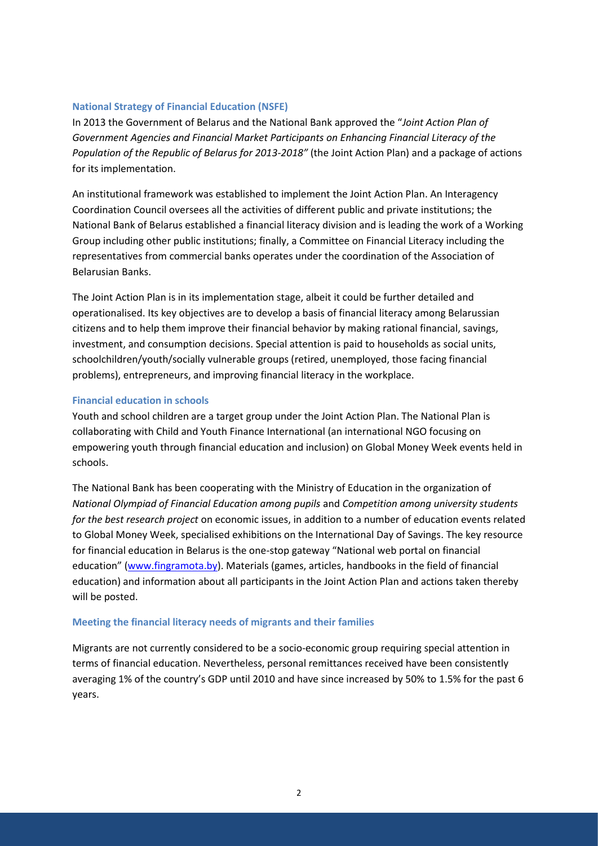#### **National Strategy of Financial Education (NSFE)**

In 2013 the Government of Belarus and the National Bank approved the "*Joint Action Plan of Government Agencies and Financial Market Participants on Enhancing Financial Literacy of the Population of the Republic of Belarus for 2013-2018"* (the Joint Action Plan) and a package of actions for its implementation.

An institutional framework was established to implement the Joint Action Plan. An Interagency Coordination Council oversees all the activities of different public and private institutions; the National Bank of Belarus established a financial literacy division and is leading the work of a Working Group including other public institutions; finally, a Committee on Financial Literacy including the representatives from commercial banks operates under the coordination of the Association of Belarusian Banks.

The Joint Action Plan is in its implementation stage, albeit it could be further detailed and operationalised. Its key objectives are to develop a basis of financial literacy among Belarussian citizens and to help them improve their financial behavior by making rational financial, savings, investment, and consumption decisions. Special attention is paid to households as social units, schoolchildren/youth/socially vulnerable groups (retired, unemployed, those facing financial problems), entrepreneurs, and improving financial literacy in the workplace.

#### **Financial education in schools**

Youth and school children are a target group under the Joint Action Plan. The National Plan is collaborating with Child and Youth Finance International (an international NGO focusing on empowering youth through financial education and inclusion) on Global Money Week events held in schools.

The National Bank has been cooperating with the Ministry of Education in the organization of *National Olympiad of Financial Education among pupils* and *Competition among university students for the best research project* on economic issues, in addition to a number of education events related to Global Money Week, specialised exhibitions on the International Day of Savings. The key resource for financial education in Belarus is the one-stop gateway "National web portal on financial education" ([www.fingramota.by\)](http://www.fingramota.by/). Materials (games, articles, handbooks in the field of financial education) and information about all participants in the Joint Action Plan and actions taken thereby will be posted.

#### **Meeting the financial literacy needs of migrants and their families**

Migrants are not currently considered to be a socio-economic group requiring special attention in terms of financial education. Nevertheless, personal remittances received have been consistently averaging 1% of the country's GDP until 2010 and have since increased by 50% to 1.5% for the past 6 years.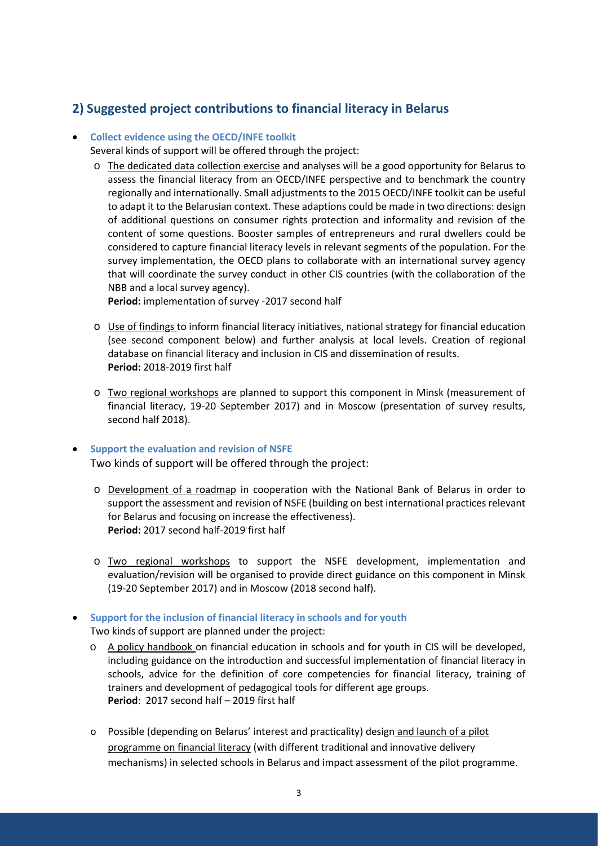## **2) Suggested project contributions to financial literacy in Belarus**

#### **Collect evidence using the OECD/INFE toolkit**

Several kinds of support will be offered through the project:

o The dedicated data collection exercise and analyses will be a good opportunity for Belarus to assess the financial literacy from an OECD/INFE perspective and to benchmark the country regionally and internationally. Small adjustments to the 2015 OECD/INFE toolkit can be useful to adapt it to the Belarusian context. These adaptions could be made in two directions: design of additional questions on consumer rights protection and informality and revision of the content of some questions. Booster samples of entrepreneurs and rural dwellers could be considered to capture financial literacy levels in relevant segments of the population. For the survey implementation, the OECD plans to collaborate with an international survey agency that will coordinate the survey conduct in other CIS countries (with the collaboration of the NBB and a local survey agency).

**Period:** implementation of survey -2017 second half

- o Use of findings to inform financial literacy initiatives, national strategy for financial education (see second component below) and further analysis at local levels. Creation of regional database on financial literacy and inclusion in CIS and dissemination of results. **Period:** 2018-2019 first half
- o Two regional workshops are planned to support this component in Minsk (measurement of financial literacy, 19-20 September 2017) and in Moscow (presentation of survey results, second half 2018).

#### **•** Support the evaluation and revision of NSFE

Two kinds of support will be offered through the project:

- o Development of a roadmap in cooperation with the National Bank of Belarus in order to support the assessment and revision of NSFE (building on best international practices relevant for Belarus and focusing on increase the effectiveness). **Period:** 2017 second half-2019 first half
- o Two regional workshops to support the NSFE development, implementation and evaluation/revision will be organised to provide direct guidance on this component in Minsk (19-20 September 2017) and in Moscow (2018 second half).
- **Support for the inclusion of financial literacy in schools and for youth**

Two kinds of support are planned under the project:

- o A policy handbook on financial education in schools and for youth in CIS will be developed, including guidance on the introduction and successful implementation of financial literacy in schools, advice for the definition of core competencies for financial literacy, training of trainers and development of pedagogical tools for different age groups. **Period**: 2017 second half – 2019 first half
- o Possible (depending on Belarus' interest and practicality) design and launch of a pilot programme on financial literacy (with different traditional and innovative delivery mechanisms) in selected schools in Belarus and impact assessment of the pilot programme.